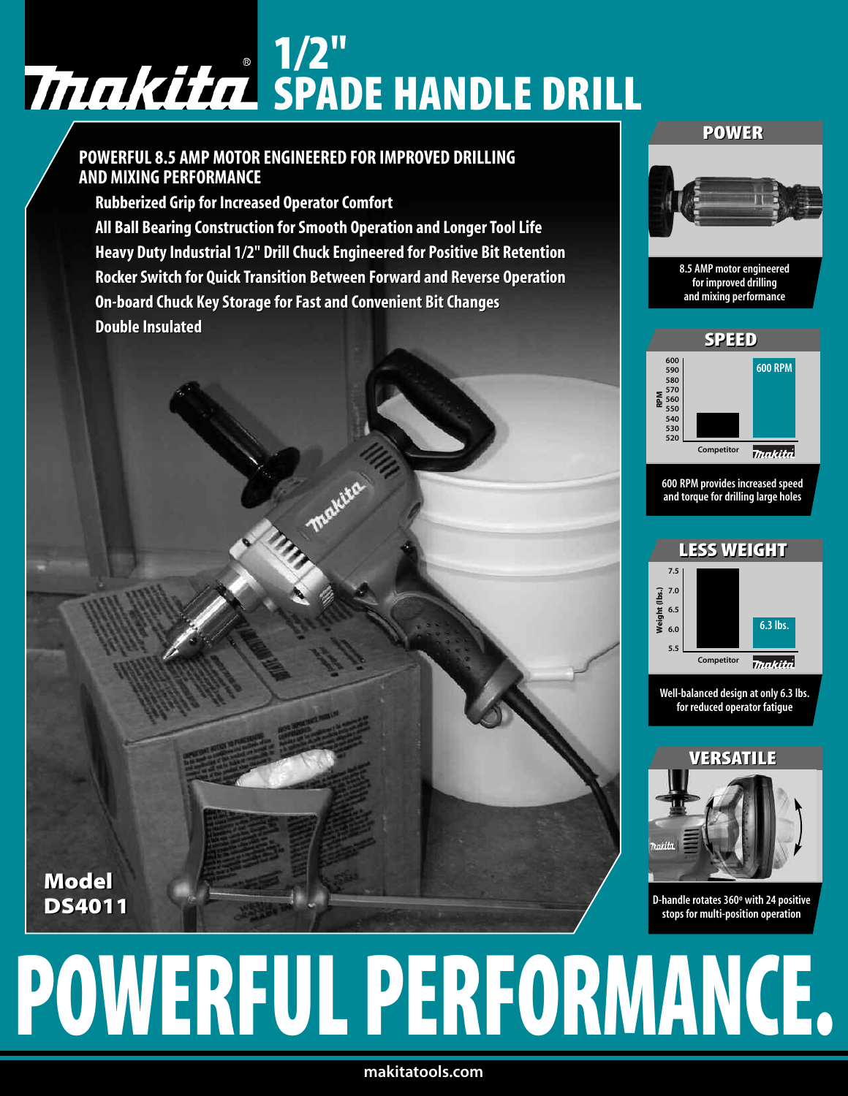## **1/2" SPADE HANDLE DRILL**

## **POWERFUL 8.5 AMP MOTOR ENGINEERED FOR IMPROVED DRILLING POWERFUL8.5AMP MOTORENGINEERED FORIMPROVEDDRILLING AND MIXING PERFORMANCE Rubberized Grip for Increased OperatorComfort AND MIXING PERFORMANCERubberized Grip Increased**

**Model Model DS4011 DS4011**

**All Ball Bearing Construction forSmooth Operation and LongerToolLife BallBearing ConstructionforSmooth OperationLongerToolLife**Heavy Duty Industrial 1/2" Drill Chuck Engineered for Positive Bit Retention **RockerSwitch for Quick Transition Between Forward and Reverse Operation QuickTransition BetweenForwardand Reverse Operation On-board Chuck KeyStorage forFast and Convenient BitChanges ChuckKeyStorageforFast and Convenient BitChanges Double Insulated Insulated**

### **POWER**



8.5 AMP motor engineered for improved drilling and mixing performance



600 RPM provides increased speed and torque for drilling large holes



Well-balanced design at only 6.3 lbs. for reduced operator fatigue



D-handle rotates 360° with 24 positive stops for multi-position operation

# **POWERFUL PERFORMANCE.**

**makitatools.com**